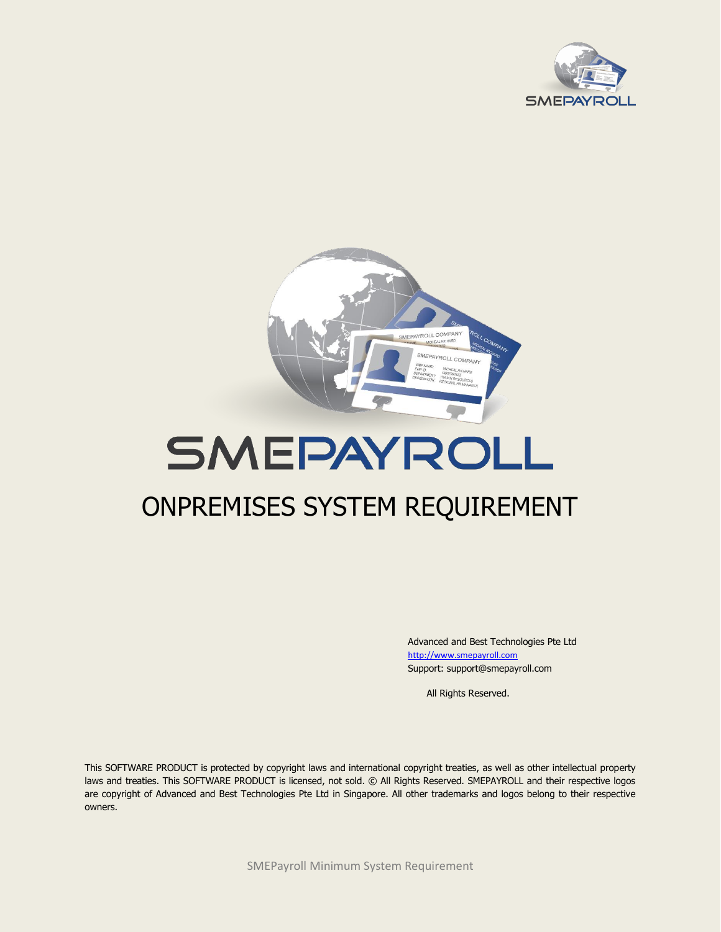



# SMEPAYROLL

# ONPREMISES SYSTEM REQUIREMENT

Advanced and Best Technologies Pte Ltd [http://www.smepayroll.com](http://www.smepayroll.com/) Support: support@smepayroll.com

All Rights Reserved.

This SOFTWARE PRODUCT is protected by copyright laws and international copyright treaties, as well as other intellectual property laws and treaties. This SOFTWARE PRODUCT is licensed, not sold. © All Rights Reserved. SMEPAYROLL and their respective logos are copyright of Advanced and Best Technologies Pte Ltd in Singapore. All other trademarks and logos belong to their respective owners.

SMEPayroll Minimum System Requirement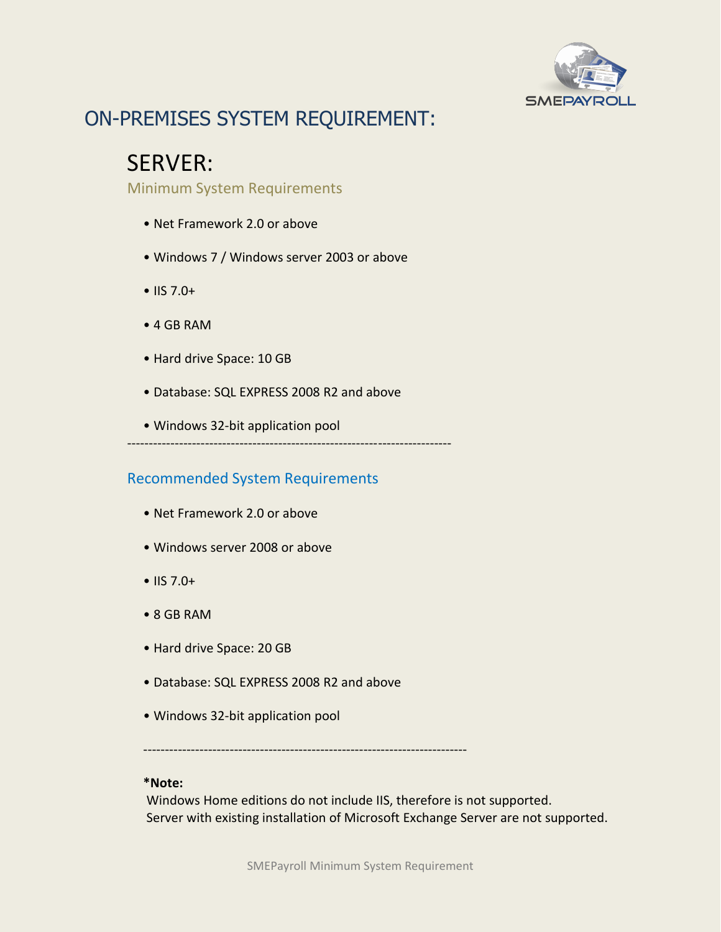

### ON-PREMISES SYSTEM REQUIREMENT:

### SERVER:

Minimum System Requirements

- Net Framework 2.0 or above
- Windows 7 / Windows server 2003 or above
- IIS 7.0+
- 4 GB RAM
- Hard drive Space: 10 GB
- Database: SQL EXPRESS 2008 R2 and above
- Windows 32-bit application pool

#### ---------------------------------------------------------------------------

#### Recommended System Requirements

- Net Framework 2.0 or above
- Windows server 2008 or above
- IIS 7.0+
- 8 GB RAM
- Hard drive Space: 20 GB
- Database: SQL EXPRESS 2008 R2 and above
- Windows 32-bit application pool

---------------------------------------------------------------------------

#### **\*Note:**

Windows Home editions do not include IIS, therefore is not supported. Server with existing installation of Microsoft Exchange Server are not supported.